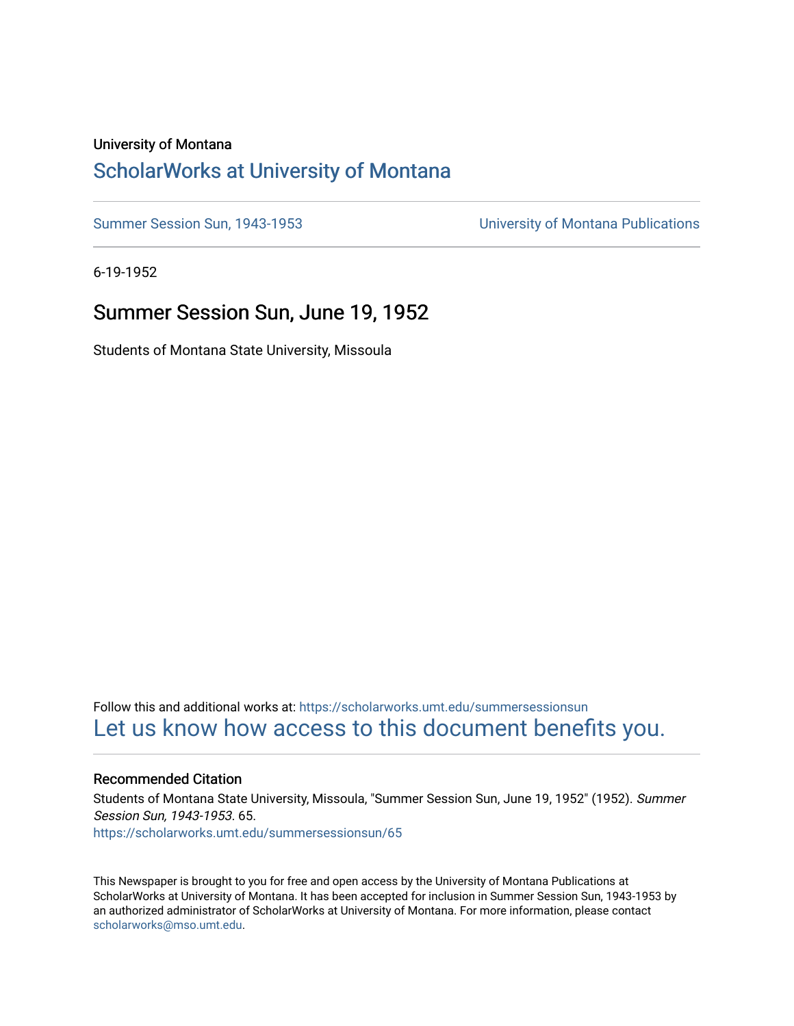### University of Montana

### [ScholarWorks at University of Montana](https://scholarworks.umt.edu/)

[Summer Session Sun, 1943-1953](https://scholarworks.umt.edu/summersessionsun) [University of Montana Publications](https://scholarworks.umt.edu/umpubs) 

6-19-1952

### Summer Session Sun, June 19, 1952

Students of Montana State University, Missoula

Follow this and additional works at: [https://scholarworks.umt.edu/summersessionsun](https://scholarworks.umt.edu/summersessionsun?utm_source=scholarworks.umt.edu%2Fsummersessionsun%2F65&utm_medium=PDF&utm_campaign=PDFCoverPages)  [Let us know how access to this document benefits you.](https://goo.gl/forms/s2rGfXOLzz71qgsB2) 

### Recommended Citation

Students of Montana State University, Missoula, "Summer Session Sun, June 19, 1952" (1952). Summer Session Sun, 1943-1953. 65. [https://scholarworks.umt.edu/summersessionsun/65](https://scholarworks.umt.edu/summersessionsun/65?utm_source=scholarworks.umt.edu%2Fsummersessionsun%2F65&utm_medium=PDF&utm_campaign=PDFCoverPages)

This Newspaper is brought to you for free and open access by the University of Montana Publications at ScholarWorks at University of Montana. It has been accepted for inclusion in Summer Session Sun, 1943-1953 by an authorized administrator of ScholarWorks at University of Montana. For more information, please contact [scholarworks@mso.umt.edu.](mailto:scholarworks@mso.umt.edu)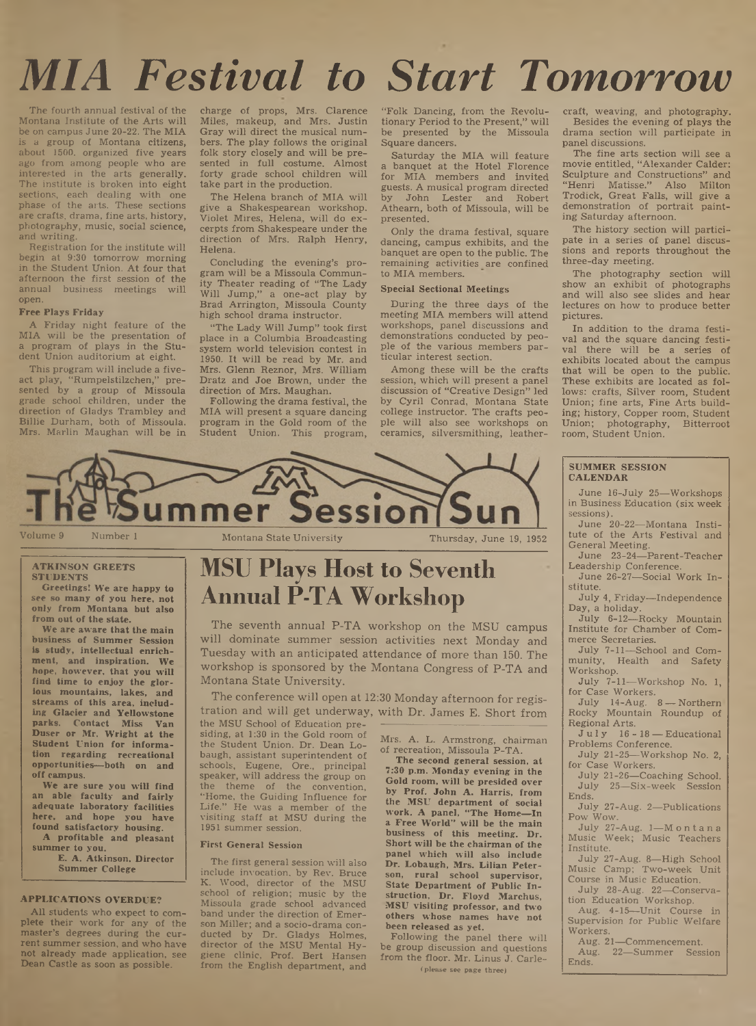# *MIA Festival to Start Tomorrow*

The fourth annual festival of the Montana Institute of the Arts will be on campus June 20-22. The MIA is a group of Montana citizens, about 1500, organized five years ago from among people who are interested in the arts generally. The institute is broken into eight sections, each dealing with one phase of the arts. These sections are crafts, drama, fine arts, history, photography, music, social science, and writing.

Registration for the institute will begin at 9:30 tomorrow morning in the Student Union. At four that afternoon the first session of the annua] business meetings will open.

#### Free Plays Friday

A Friday night feature of the MIA will be the presentation of a program of plays in the Student Union auditorium at eight.

This program will include a fiveact play, "Rumpelstilzchen," presented by a group of Missoula grade school children, under the direction of Gladys Trambley and Billie Durham, both of Missoula. Mrs. Marlin Maughan will be in charge of props, Mrs. Clarence Miles, makeup, and Mrs. Justin Gray will direct the musical numbers. The play follows the original folk story closely and will be presented in full costume. Almost forty grade school children will take part in the production.

The Helena branch of MIA will give a Shakespearean workshop. Violet Mires, Helena, will do excerpts from Shakespeare under the direction of Mrs. Ralph Henry, Helena.

Concluding the evening's program will be a Missoula Community Theater reading of "The Lady Will Jump," a one-act play by Brad Arrington, Missoula County high school drama instructor.

"The Lady Will Jump" took first place in a Columbia Broadcasting system world television contest in 1950. It will be read by Mr. and Mrs. Glenn Reznor, Mrs. William Dratz and Joe Brown, under the direction of Mrs. Maughan.

Following the drama festival, the MIA will present a square dancing program in the Gold room of the Student Union. This program,

"Folk Dancing, from the Revolutionary Period to the Present," will be presented by the Missoula Square dancers.

Saturday the MIA will feature a banquet at the Hotel Florence for MIA members and invited guests. A musical program directed by John Lester and Robert Atheam, both of Missoula, will be presented.

Only the drama festival, square dancing, campus exhibits, and the banquet are open to the public. The remaining activities are confined to MIA members.

#### Special Sectional Meetings

During the three days of the meeting MIA members will attend workshops, panel discussions and demonstrations conducted by people of the various members particular interest section.

Among these will be the crafts session, which will present a panel discussion of "Creative Design" led by Cyril Conrad, Montana State college instructor. The crafts people will also see workshops on ceramics, silversmithing, leathercraft, weaving, and photography. Besides the evening of plays the drama section will participate in panel discussions.

The fine arts section will see a movie entitled, "Alexander Calder: Sculpture and Constructions" and "Henri Matisse." Also Milton Trodick, Great Falls, will give a demonstration of portrait painting Saturday afternoon.

The history section will participate in a series of panel discussions and reports throughout the three-day meeting.

The photography section will show an exhibit of photographs and will also see slides and hear lectures on how to produce better pictures.

In addition to the drama festival and the square dancing festival there will be a series of exhibits located about the campus that will be open to the public. These exhibits are located as follows: crafts, Silver room, Student Union; fine arts, Fine Arts building; history, Copper room, Student Union; photography, Bitterroot room, Student Union.



ATKINSON GREETS STUDENTS

Greetings! We are happy to see so many of you here, not only from Montana but also from out of the state.

We are aware that the main business of Summer Session is study, intellectual enrichment, and inspiration. We hope, however, that you will find time to enjoy the glorious mountains, lakes, and streams of this area, including Glacier and Yellowstone parks. Contact Miss Van Duser or Mr. Wright at the Student Union for information regarding recreational opportunities—both on and off campus.

We are sure you will find an able faculty and fairly adequate laboratory facilities here, and hope you have found satisfactory housing.

A profitable and pleasant summer to you. E. A. Atkinson, Director

Summer College

### **APPLICATIONS OVERDUE?**

All students who expect to com**plete their work for any of the master's degrees during the current summer session, and who have not already made application, see Dean Castle as soon as possible.**

## **MSU Plays Host to Seventh Annual P-TA Workshop**

The seventh annual P-TA workshop on the MSU campus will dominate summer session activities next Monday and Tuesday with an anticipated attendance of more than 150. The workshop is sponsored by the Montana Congress of P-TA and Montana State University.

The conference will open at 12:30 Monday afternoon for registration and will get underway, with Dr. James E. Short from the MSU School of Education pre-

siding, at 1:30 in the Gold room of the Student Union. Dr. Dean Lobaugh, assistant superintendent of schools, Eugene, Ore., principal speaker, will address the group on the theme of the convention, "Home, the Guiding Influence for Life." He was a member of the visiting staff at MSU during the 1951 summer session.

#### First General Session

The first general session will also include invocation, by Rev. Bruce Wood, director of the MSU school of religion; music by the Missoula grade school advanced band under the direction of Emerson Miller; and a socio-drama conducted by Dr. Gladys Holmes, director of the MSU Mental Hygiene clinic, Prof. Bert Hansen from the English department, and

Mrs. A. L. Armstrong, chairman of recreation, Missoula P-TA.

The second general session, at 7:30 p.m. Monday evening in the Gold room, will be presided over by Prof. John A. Harris, from the MSU department of social work. A panel, " The Home—In a Free World" will be the main business of this meeting. Dr. Short will be the chairman of the panel which will also include Dr. Lobaugh, Mrs. Lilian Peterson, rural school supervisor, State Department of Public Instruction, Dr. Floyd Marchus, MSU visiting professor, and two others whose names have not been released as yet.

Following the panel there will be group discussion and questions from the floor. Mr. Linus J. Carle-

(please see page three)

#### SUMMER SESSION CALENDAR

June 16-July 25—Workshops in Business Education (six week sessions).

June 20-22—Montana Institute of the Arts Festival and General Meeting.

June 23-24—Parent-Teacher Leadership Conference.

June 26-27—Social Work Institute.

July 4, Friday—Independence Day, a holiday.

July 6-12—Rocky Mountain Institute for Chamber of Commerce Secretaries.

July 7-11—School and Community, Health and Safety Workshop.

July 7-11—Workshop No. 1, for Case Workers.

July 14-Aug. 8 — Northern' Rocky Mountain Roundup of Regional Arts.

July 16-18 — Educational Problems Conference.

July 21-25—Workshop No. 2, for Case Workers.

July 21-26—Coaching School. July 25—Six-week Session Ends.

July 27-Aug. 2—Publications Pow Wow.

July 27-Aug. 1-Montana Music Week; Music Teachers Institute.

July 27-Aug. 8—High School Music Camp; Two-week Unit Course in Music Education.

July 28-Aug. 22—Conservation Education Workshop.

Aug. 4-15—Unit Course in Supervision for Public Welfare Workers.

Aug. 21—Commencement.<br>Aug. 22—Summer Sess 22—Summer Session Ends.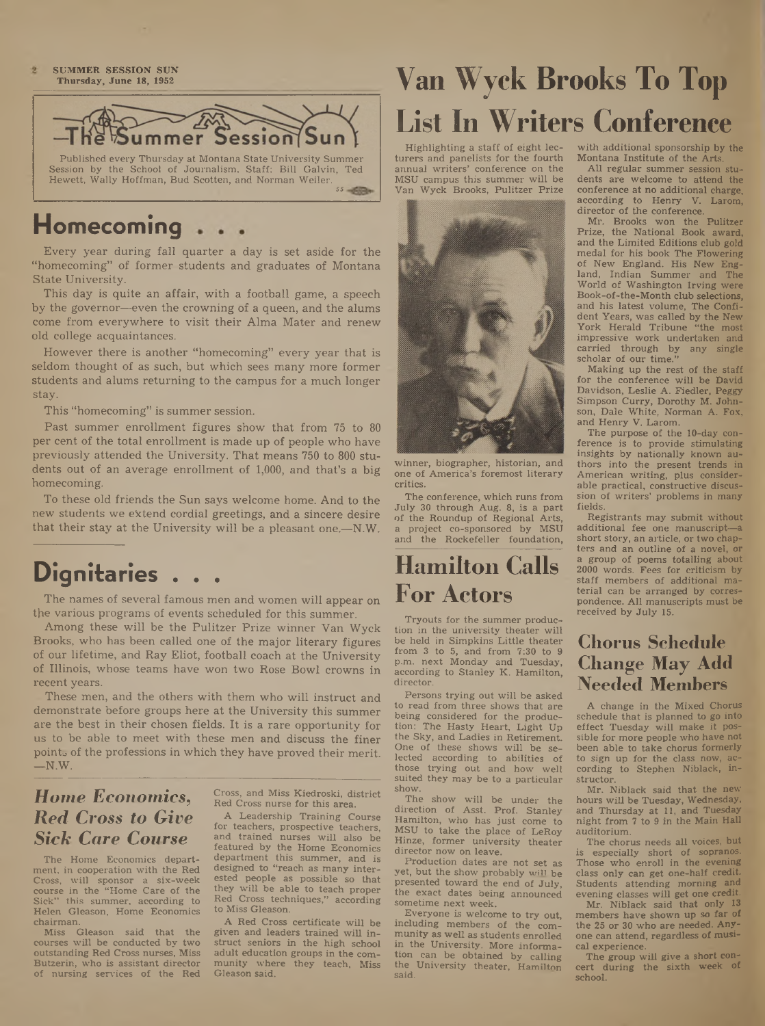$\overline{2}$ SUMMER SESSION SUN Thursday, June 18, 1952



## **Homecoming**

Every year during fall quarter a day is set aside for the "homecoming" of former students and graduates of Montana State University.

This day is quite an affair, with a football game, a speech by the governor—even the crowning of a queen, and the alums come from everywhere to visit their Alma Mater and renew old college acquaintances.

However there is another "homecoming" every year that is seldom thought of as such, but which sees many more former students and alums returning to the campus for a much longer stay.

This "homecoming" is summer session.

Past summer enrollment figures show that from 75 to 80 per cent of the total enrollment is made up of people who have previously attended the University. That means 750 to 800 students out of an average enrollment of 1,000, and that's a big homecoming.

To these old friends the Sun says welcome home. And to the new students we ektend cordial greetings, and a sincere desire that their stay at the University will be a pleasant one.—N.W.

## Dignitaries

The names of several famous men and women will appear on the various programs of events scheduled for this summer.

Among these will be the Pulitzer Prize winner Van Wyck Brooks, who has been called one of the major literary figures of our lifetime, and Ray Eliot, football coach at the University of Illinois, whose teams have won two Rose Bowl crowns in recent years.

These men, and the others with them who will instruct and demonstrate before groups here at the University this summer are the best in their chosen fields. It is a rare opportunity for us to be able to meet with these men and discuss the finer points of the professions in which they have proved their merit.  $-N.W.$ 

### *Home Economics***,** *Red Cross to Give Sick Care Course*

The Home Economics department, in cooperation with the Red Cross, will sponsor a six-week course in the "Home Care of the Sick" this summer, according to Helen Gleason, Home Economics chairman.

Miss Gleason said that the courses will be conducted by two outstanding Red Cross nurses, Miss Butzerin, who is assistant director of nursing services of the Red

Cross, and Miss Kiedroski, district Red Cross nurse for this area.

A Leadership Training Course for teachers, prospective teachers, and trained nurses will also be featured by the Home Economics department this summer, and is designed to "reach as many interested people as possible so that they will be able to teach proper Red Cross techniques," according to Miss Gleason.

A Red Cross certificate will be given and leaders trained will instruct seniors in the high school adult education groups in the community where they teach, Miss Gleason said.

## **Van W yck Brooks To Top List In Writers Conference**

Highlighting a staff of eight lecturers and panelists for the fourth annual writers' conference on the MSU campus this summer will be Van Wyck Brooks, Pulitzer Prize



winner, biographer, historian, and one of America's foremost literary critics.

The conference, which runs from July 30 through Aug. 8, is a part of the Roundup of Regional Arts, a project co-sponsored by MSU and the Rockefeller foundation,

## **Hamilton Calls For Actors**

Tryouts for the summer production in the university theater will be held in Simpkins Little theater from 3 to 5, and from 7:30 to 9 p.m. next Monday and Tuesday, according to Stanley K. Hamilton, director.

Persons trying out will be asked to read from three shows that are being considered for the produc-<br>tion: The Hasty Heart Light Un The Hasty Heart, Light Up the Sky, and Ladies in Retirement. One of these shows will be selected according to abilities of those trying out and how well suited they may be to a particular show.

The show will be under the direction of Asst. Prof. Stanley Hamilton, who has just come to MSU to take the place of LeRoy Hinze, former university theater director now on leave.

Production dates are not set as yet, but the show probably will be presented toward the end of July, the exact dates heing announced sometime next week.

Everyone is welcome to try out, including members of the community as well as students enrolled in the University. More information can be obtained by calling the University theater, Hamilton said.

with additional sponsorship by the Montana Institute of the Arts.

All regular summer session students are welcome to attend the conference at no additional charge, according to Henry V. Larom, director of the conference.

Mr. Brooks won the Pulitzer Prize, the National Book award, and the Limited Editions club gold medal for his book The Flowering of New England. His New England, Indian Summer and The World of Washington Irving were Book-of-the-Month club selections, and his latest volume, The Confident Years, was called by the New York Herald Tribune "the most impressive work undertaken and carried through by any single scholar of our time."

Making up the rest of the staff for the conference will be David Davidson, Leslie A. Fiedler, Peggy Simpson Curry, Dorothy M. Johnson, Dale White, Norman A. Fox, and Henry V. Larom.

The purpose of the 10-day conference is to provide stimulating insights by nationally known authors into the present trends in American writing, plus considerable practical, constructive discussion of writers' problems in many fields.

Registrants may submit without additional fee one manuscript—a short story, an article, or two chapters and an outline of a novel, or a group of poems totalling about 2000 words. Fees for criticism by staff members of additional material can be arranged by correspondence. All manuscripts must be received by July 15.

### **Chorus Schedule Change May Add Needed Members**

A change in the Mixed Chorus schedule that is planned to go into effect Tuesday will make it possible for more people who have not been able to take chorus formerly to sign up for the class now, according to Stephen Niblack, instructor.

Mr. Niblack said that the new hours will be Tuesday, Wednesday, and Thursday at 11, and Tuesday night from 7 to 9 in the Main Hall auditorium.

The chorus needs all voices, but especially short of sopranos. Those who enroll in the evening class only can get one-half credit Students attending morning and evening classes will get one credit.

Mr. Niblack said that only 13 members have shown up so far of the 25 or 30 who are needed. Anyone can attend, regardless of musical experience.

The group will give a short concert during the sixth week of school.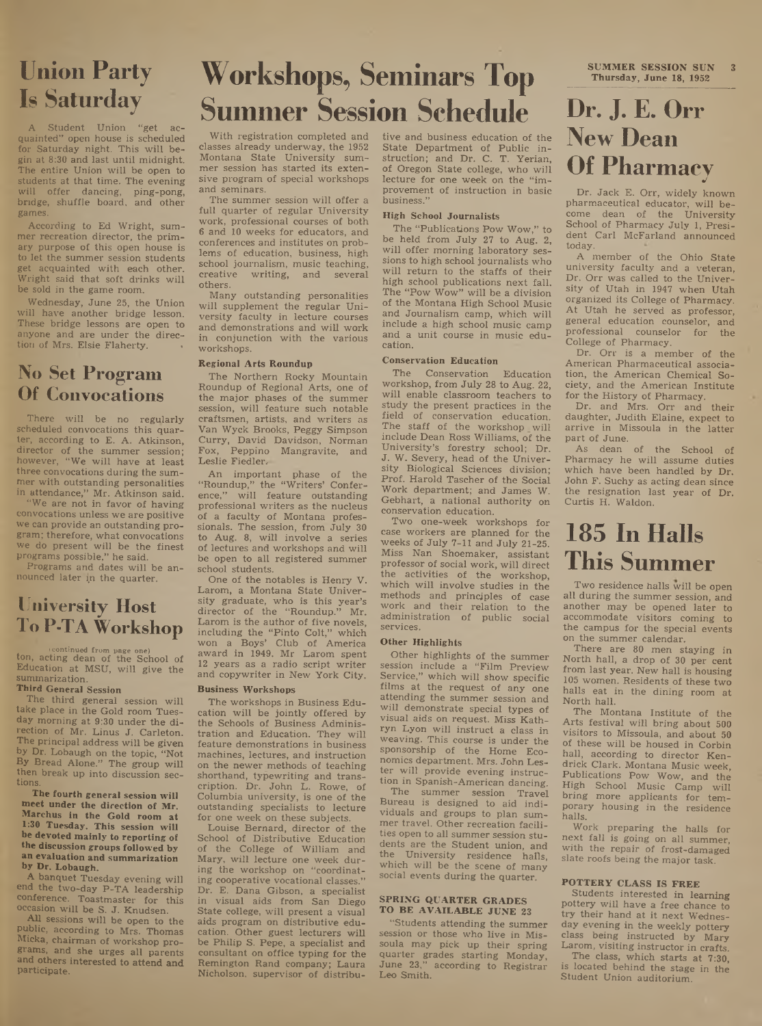## **Union Party Is Saturday**

Student Union "get acquainted" open house is scheduled for Saturday night. This will begin at 8:30 and last until midnight. The entire Union will be open to students at that time. The evening will offer dancing, ping-pong, bridge, shuffle board, and other games.

According to Ed Wright, summer recreation director, the primary purpose of this open house is to let the summer session students get acquainted with each other. Wright said that soft drinks will be sold in the game room.

Wednesday, June 25, the Union will have another bridge lesson. These bridge lessons are open to anyone and are under the direction of Mrs. Elsie Flaherty. •

### **No Set Program Of Convocations**

There will be no regularly scheduled convocations this quarter, according to E. A. Atkinson, director of the summer session; however, "We will have at least three convocations during the summer with outstanding personalities in attendance," Mr. Atkinson said.

"We are not in favor of having convocations unless we are positive we can provide an outstanding program; therefore, what convocations we do present will be the finest programs possible," he said.

Programs and dates will be announced later in the quarter.

### **University Host To P-TA Workshop**

(continued from page one) ton, acting dean of the School of Education at MSU, will give the summarization.

### Third General Session

The third general session will take place in the Gold room Tuesday morning at 9:30 under the direction of Mr. Linus J. Carleton. The principal address will be given by Dr. Lobaugh on the topic, "Not By Bread Alone." The group will then break up into discussion sections.

The fourth general session will meet under the direction of Mr. Marchus in the Gold room at 1:30 Tuesday. This session will he devoted mainly to reporting of the discussion groups followed by an evaluation and summarization by Dr. Lobaugh.

A banquet Tuesday evening will end the two-day P-TA leadership conference. Toastmaster for this occasion will be S. J. Knudsen.

All sessions will be open to the public, according to Mrs. Thomas Micka, chairman of workshop programs, and she urges all parents and others interested to attend and participate.

## **W orkshops, Seminars Top Summer Session Schedule**

With registration completed and classes already underway, the 1952 Montana State University summer session has started its extensive program of special workshops and seminars.

The summer session will offer a full quarter of regular University work, professional courses of both 6 and 10 weeks for educators, and conferences and institutes on problems of education, business, high school journalism, music teaching, creative writing, and several others.

Many outstanding personalities will supplement the regular University faculty in lecture courses and demonstrations and will work in conjunction with the various workshops.

#### Regional Arts Roundup

The Northern Rocky Mountain Roundup of Regional Arts, one of the major phases of the summer session, will feature such notable craftsmen, artists, and writers as Van Wyck Brooks, Peggy Simpson Curry, David Davidson, Norman Fox, Peppino Mangravite, and Leslie Fiedler.

An important phase of the "Roundup," the "Writers' Conference," will feature outstanding professional writers as the nucleus of a faculty of Montana professionals. The session, from July 30 to Aug. 8, will involve a series of lectures and workshops and will be open to all registered summer school students.

One of the notables is Henry V. Larom, a Montana State University graduate, who is this year's director of the "Roundup." Mr. Larom is the author of five novels, including the "Pinto Colt," which won a Boys' Club of America award in 1949. Mr Larom spent 12 years as a radio script writer and copywriter in New York City.

### Business Workshops

The workshops in Business Education will be jointly offered by the Schools of Business Administration and Education. They will feature demonstrations in business machines, lectures, and instruction on the newer methods of teaching shorthand, typewriting and transcription. Dr. John L. Rowe, of Columbia university, is one of the outstanding specialists to lecture for one week on these subjects.

Louise Bernard, director of the School of Distributive Education of the College of William and Mary, will lecture one week during the workshop on "coordinating cooperative vocational classes." Dr. E. Dana Gibson, a specialist in visual aids from San Diego State college, will present a visual aids program on distributive education. Other guest lecturers will be Philip S. Pepe, a specialist and consultant on office typing for the Remington Rand company; Laura Nicholson, supervisor of distributive and business education of the State Department of Public instruction; and Dr. C. T. Yerian, of Oregon State college, who will lecture for one week on the "improvement of instruction in basic business."

#### High School Journalists

The "Publications Pow Wow," to be held from July 27 to Aug. 2, will offer morning laboratory sessions to high school journalists who will return to the staffs of their high school publications next fall. The "Pow Wow" will be a division of the Montana High School Music and Journalism camp, which will include a high school music camp and a unit course in music education.

### Conservation Education

The Conservation Education workshop, from July 28 to Aug. 22, will enable classroom teachers to study the present practices in the field of conservation education. The staff of the workshop will include Dean Ross Williams, of the University's forestry school; Dr. J. W. Severy, head of the University Biological Sciences division; Prof. Harold Tascher of the Social Work department; and James W. Gebhart, a national authority on conservation education.

Two one-week workshops for case workers are planned for the weeks of July 7-11 and July 21-25. Miss Nan Shoemaker, assistant professor of social work, will direct the activities of the workshop, which will involve studies in the methods and principles of case work and their relation to the administration of public social services.

### Other Highlights

Other highlights of the summer session include a "Film Preview Service," which will show specific films at the request of any one attending the summer session and will demonstrate special types of visual aids on request. Miss Kathryn Lyon will instruct a class in weaving. This course is under the sponsorship of the Home Economics department. Mrs. John Lester will provide evening instruction in Spanish-American dancing.

The summer session Travel Bureau is designed to aid individuals and groups to plan summer travel. Other recreation facilities open to all summer session students are the Student union, and the University residence halls, which will be the scene of many social events during the quarter.

#### SPRING QUARTER GRADES TO BE AVAILABLE JUNE 23

"Students attending the summer session or those who live in Missoula may pick up their spring quarter grades starting Monday, June 23," according to Registrar Leo Smith.

SUMMER SESSION SUN Thursday, June 18, 1952

## **Dr. J. E. Orr New Dean Of Pharmacy***<sup>j</sup>*

Dr. Jack E. Orr, widely known pharmaceutical educator, will become dean of the University School of Pharmacy July 1, President Carl McFarland announced today.

A member of the Ohio State university faculty and a veteran, Dr. Orr was called to the University of Utah in 1947 when Utah organized its College of Pharmacy. At Utah he served as professor, general education counselor, and professional counselor for the College of Pharmacy.

Dr. Orr is a member of the American Pharmaceutical association, the American Chemical Society, and the American Institute for the History of Pharmacy.

Dr. and Mrs. Orr and their daughter, Judith Elaine, expect to arrive in Missoula in the latter part of June.

As dean of the School of Pharmacy he will assume duties which have been handled by Dr. John F. Suchy as acting dean since the resignation last year of Dr. Curtis H. Waldon.

## **185 In Halls This Summer**

Two residence halls will be open all during the summer session, and another may be opened later to accommodate visitors coming to the campus for the special events on the summer calendar.

There are 80 men staying in North hall, a drop of 30 per cent from last year. New hall is housing 105 women. Residents of these two halls eat in the dining room at North hall.

The Montana Institute of the Arts festival will bring about 500 visitors to Missoula, and about 50 of these will be housed in Corbin hall, according to director Kendrick Clark. Montana Music week, Publications Pow Wow, and the High School Music Camp will bring more applicants for temporary housing in the residence halls.

Work preparing the halls for next fall is going on all summer, with the repair of frost-damaged slate roofs being the major task.

### POTTERY CLASS IS FREE

Students interested in learning pottery will have a free chance to try their hand at it next Wednesday evening in the weekly pottery class being instructed by Mary Larom, visiting instructor in crafts.

The class, which starts at 7:30, is located behind the stage in the Student Union auditorium.